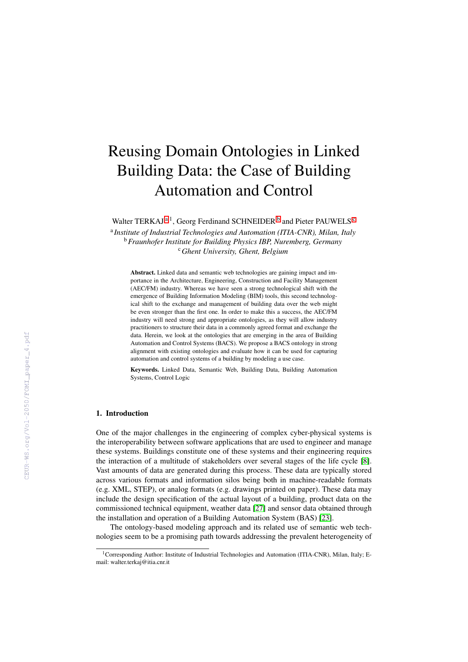# Reusing Domain Ontologies in Linked Building Data: the Case of Building Automation and Control

W[a](#page-0-0)lter TERKAJ<sup>a, 1</sup>, Georg Ferdinand SCHNEIDER<sup>[b](#page-0-1)</sup> and Pieter PAUWELS<sup>[c](#page-0-2)</sup>

<span id="page-0-2"></span><span id="page-0-1"></span><span id="page-0-0"></span>a *Institute of Industrial Technologies and Automation (ITIA-CNR), Milan, Italy* <sup>b</sup>*Fraunhofer Institute for Building Physics IBP, Nuremberg, Germany* <sup>c</sup>*Ghent University, Ghent, Belgium*

Abstract. Linked data and semantic web technologies are gaining impact and importance in the Architecture, Engineering, Construction and Facility Management (AEC/FM) industry. Whereas we have seen a strong technological shift with the emergence of Building Information Modeling (BIM) tools, this second technological shift to the exchange and management of building data over the web might be even stronger than the first one. In order to make this a success, the AEC/FM industry will need strong and appropriate ontologies, as they will allow industry practitioners to structure their data in a commonly agreed format and exchange the data. Herein, we look at the ontologies that are emerging in the area of Building Automation and Control Systems (BACS). We propose a BACS ontology in strong alignment with existing ontologies and evaluate how it can be used for capturing automation and control systems of a building by modeling a use case.

Keywords. Linked Data, Semantic Web, Building Data, Building Automation Systems, Control Logic

#### 1. Introduction

One of the major challenges in the engineering of complex cyber-physical systems is the interoperability between software applications that are used to engineer and manage these systems. Buildings constitute one of these systems and their engineering requires the interaction of a multitude of stakeholders over several stages of the life cycle [\[8\]](#page--1-0). Vast amounts of data are generated during this process. These data are typically stored across various formats and information silos being both in machine-readable formats (e.g. XML, STEP), or analog formats (e.g. drawings printed on paper). These data may include the design specification of the actual layout of a building, product data on the commissioned technical equipment, weather data [\[27\]](#page--1-1) and sensor data obtained through the installation and operation of a Building Automation System (BAS) [\[23\]](#page--1-2).

The ontology-based modeling approach and its related use of semantic web technologies seem to be a promising path towards addressing the prevalent heterogeneity of

<sup>&</sup>lt;sup>1</sup>Corresponding Author: Institute of Industrial Technologies and Automation (ITIA-CNR), Milan, Italy; Email: walter.terkaj@itia.cnr.it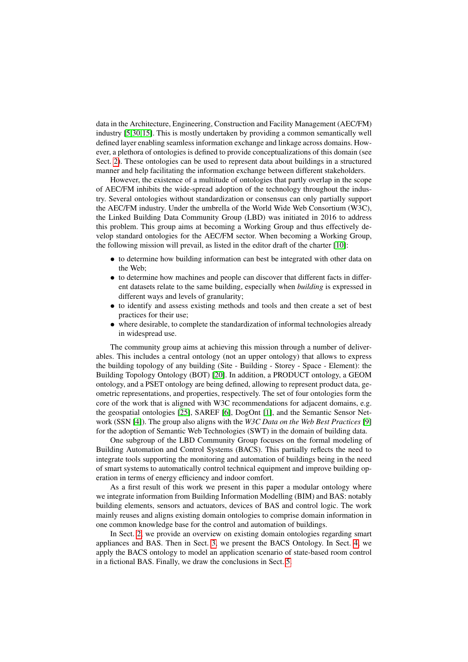data in the Architecture, Engineering, Construction and Facility Management (AEC/FM) industry [\[5](#page-11-0)[,30](#page-11-1)[,15\]](#page-11-2). This is mostly undertaken by providing a common semantically well defined layer enabling seamless information exchange and linkage across domains. However, a plethora of ontologies is defined to provide conceptualizations of this domain (see Sect. [2\)](#page-2-0). These ontologies can be used to represent data about buildings in a structured manner and help facilitating the information exchange between different stakeholders.

However, the existence of a multitude of ontologies that partly overlap in the scope of AEC/FM inhibits the wide-spread adoption of the technology throughout the industry. Several ontologies without standardization or consensus can only partially support the AEC/FM industry. Under the umbrella of the World Wide Web Consortium (W3C), the Linked Building Data Community Group (LBD) was initiated in 2016 to address this problem. This group aims at becoming a Working Group and thus effectively develop standard ontologies for the AEC/FM sector. When becoming a Working Group, the following mission will prevail, as listed in the editor draft of the charter [\[10\]](#page-11-3):

- to determine how building information can best be integrated with other data on the Web;
- to determine how machines and people can discover that different facts in different datasets relate to the same building, especially when *building* is expressed in different ways and levels of granularity;
- to identify and assess existing methods and tools and then create a set of best practices for their use;
- where desirable, to complete the standardization of informal technologies already in widespread use.

The community group aims at achieving this mission through a number of deliverables. This includes a central ontology (not an upper ontology) that allows to express the building topology of any building (Site - Building - Storey - Space - Element): the Building Topology Ontology (BOT) [\[20\]](#page-11-4). In addition, a PRODUCT ontology, a GEOM ontology, and a PSET ontology are being defined, allowing to represent product data, geometric representations, and properties, respectively. The set of four ontologies form the core of the work that is aligned with W3C recommendations for adjacent domains, e.g. the geospatial ontologies [\[25\]](#page-11-5), SAREF [\[6\]](#page-11-6), DogOnt [\[1\]](#page-10-0), and the Semantic Sensor Network (SSN [\[4\]](#page-10-1)). The group also aligns with the *W3C Data on the Web Best Practices* [\[9\]](#page-11-7) for the adoption of Semantic Web Technologies (SWT) in the domain of building data.

One subgroup of the LBD Community Group focuses on the formal modeling of Building Automation and Control Systems (BACS). This partially reflects the need to integrate tools supporting the monitoring and automation of buildings being in the need of smart systems to automatically control technical equipment and improve building operation in terms of energy efficiency and indoor comfort.

As a first result of this work we present in this paper a modular ontology where we integrate information from Building Information Modelling (BIM) and BAS: notably building elements, sensors and actuators, devices of BAS and control logic. The work mainly reuses and aligns existing domain ontologies to comprise domain information in one common knowledge base for the control and automation of buildings.

In Sect. [2,](#page-2-0) we provide an overview on existing domain ontologies regarding smart appliances and BAS. Then in Sect. [3,](#page-3-0) we present the BACS Ontology. In Sect. [4,](#page-6-0) we apply the BACS ontology to model an application scenario of state-based room control in a fictional BAS. Finally, we draw the conclusions in Sect. [5.](#page-10-2)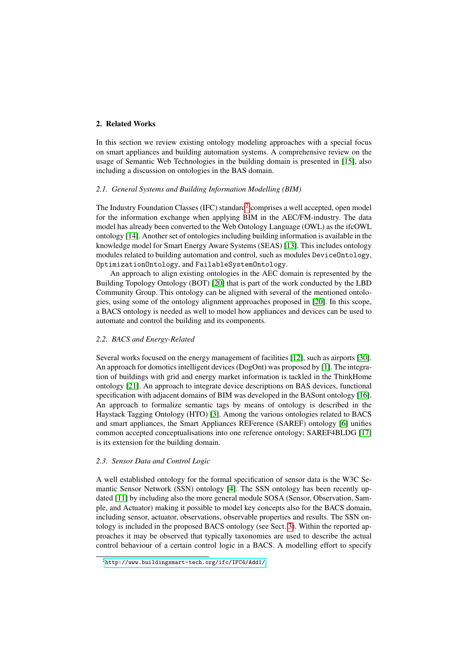# <span id="page-2-0"></span>2. Related Works

In this section we review existing ontology modeling approaches with a special focus on smart appliances and building automation systems. A comprehensive review on the usage of Semantic Web Technologies in the building domain is presented in [\[15\]](#page-11-2), also including a discussion on ontologies in the BAS domain.

### *2.1. General Systems and Building Information Modelling (BIM)*

The Industry Foundation Classes (IFC) standard<sup>[2](#page-2-1)</sup> comprises a well accepted, open model for the information exchange when applying BIM in the AEC/FM-industry. The data model has already been converted to the Web Ontology Language (OWL) as the ifcOWL ontology [\[14\]](#page-11-8). Another set of ontologies including building information is available in the knowledge model for Smart Energy Aware Systems (SEAS) [\[13\]](#page-11-9). This includes ontology modules related to building automation and control, such as modules DeviceOntology, OptimizationOntology, and FailableSystemOntology.

An approach to align existing ontologies in the AEC domain is represented by the Building Topology Ontology (BOT) [\[20\]](#page-11-4) that is part of the work conducted by the LBD Community Group. This ontology can be aligned with several of the mentioned ontologies, using some of the ontology alignment approaches proposed in [\[20\]](#page-11-4). In this scope, a BACS ontology is needed as well to model how appliances and devices can be used to automate and control the building and its components.

## *2.2. BACS and Energy-Related*

Several works focused on the energy management of facilities [\[12\]](#page-11-10), such as airports [\[30\]](#page-11-1). An approach for domotics intelligent devices (DogOnt) was proposed by [\[1\]](#page-10-0). The integration of buildings with grid and energy market information is tackled in the ThinkHome ontology [\[21\]](#page-11-11). An approach to integrate device descriptions on BAS devices, functional specification with adjacent domains of BIM was developed in the BASont ontology [\[16\]](#page-11-12). An approach to formalize semantic tags by means of ontology is described in the Haystack Tagging Ontology (HTO) [\[3\]](#page-10-3). Among the various ontologies related to BACS and smart appliances, the Smart Appliances REFerence (SAREF) ontology [\[6\]](#page-11-6) unifies common accepted conceptualisations into one reference ontology; SAREF4BLDG [\[17\]](#page-11-13) is its extension for the building domain.

## *2.3. Sensor Data and Control Logic*

A well established ontology for the formal specification of sensor data is the W3C Semantic Sensor Network (SSN) ontology [\[4\]](#page-10-1). The SSN ontology has been recently updated [\[11\]](#page-11-14) by including also the more general module SOSA (Sensor, Observation, Sample, and Actuator) making it possible to model key concepts also for the BACS domain, including sensor, actuator, observations, observable properties and results. The SSN ontology is included in the proposed BACS ontology (see Sect. [3\)](#page-3-0). Within the reported approaches it may be observed that typically taxonomies are used to describe the actual control behaviour of a certain control logic in a BACS. A modelling effort to specify

<span id="page-2-1"></span><sup>2</sup><http://www.buildingsmart-tech.org/ifc/IFC4/Add1/>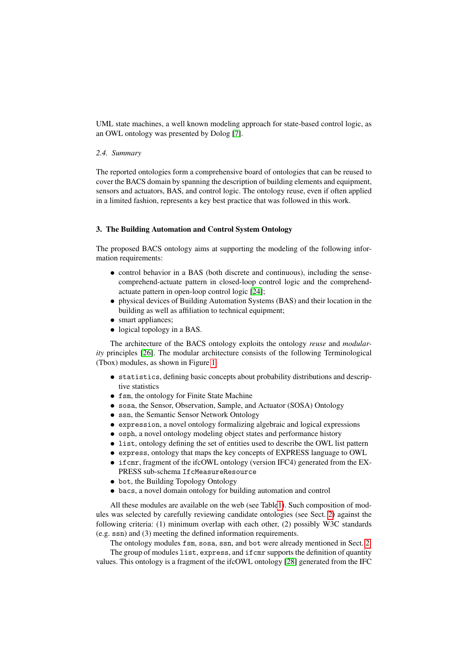UML state machines, a well known modeling approach for state-based control logic, as an OWL ontology was presented by Dolog [\[7\]](#page-11-15).

# *2.4. Summary*

The reported ontologies form a comprehensive board of ontologies that can be reused to cover the BACS domain by spanning the description of building elements and equipment, sensors and actuators, BAS, and control logic. The ontology reuse, even if often applied in a limited fashion, represents a key best practice that was followed in this work.

## <span id="page-3-0"></span>3. The Building Automation and Control System Ontology

The proposed BACS ontology aims at supporting the modeling of the following information requirements:

- control behavior in a BAS (both discrete and continuous), including the sensecomprehend-actuate pattern in closed-loop control logic and the comprehendactuate pattern in open-loop control logic [\[24\]](#page-11-16);
- physical devices of Building Automation Systems (BAS) and their location in the building as well as affiliation to technical equipment;
- smart appliances;
- logical topology in a BAS.

The architecture of the BACS ontology exploits the ontology *reuse* and *modularity* principles [\[26\]](#page-11-17). The modular architecture consists of the following Terminological (Tbox) modules, as shown in Figure [1:](#page-4-0)

- statistics, defining basic concepts about probability distributions and descriptive statistics
- fsm, the ontology for Finite State Machine
- sosa, the Sensor, Observation, Sample, and Actuator (SOSA) Ontology
- ssn, the Semantic Sensor Network Ontology
- expression, a novel ontology formalizing algebraic and logical expressions
- osph, a novel ontology modeling object states and performance history
- list, ontology defining the set of entities used to describe the OWL list pattern
- express, ontology that maps the key concepts of EXPRESS language to OWL
- if cmr, fragment of the ifcOWL ontology (version IFC4) generated from the EX-PRESS sub-schema IfcMeasureResource
- bot, the Building Topology Ontology
- bacs, a novel domain ontology for building automation and control

All these modules are available on the web (see Tabl[e1\)](#page-4-1). Such composition of modules was selected by carefully reviewing candidate ontologies (see Sect. [2\)](#page-2-0) against the following criteria: (1) minimum overlap with each other, (2) possibly W3C standards (e.g. ssn) and (3) meeting the defined information requirements.

The ontology modules fsm, sosa, ssn, and bot were already mentioned in Sect. [2.](#page-2-0)

The group of modules list, express, and ifcmr supports the definition of quantity values. This ontology is a fragment of the ifcOWL ontology [\[28\]](#page-11-18) generated from the IFC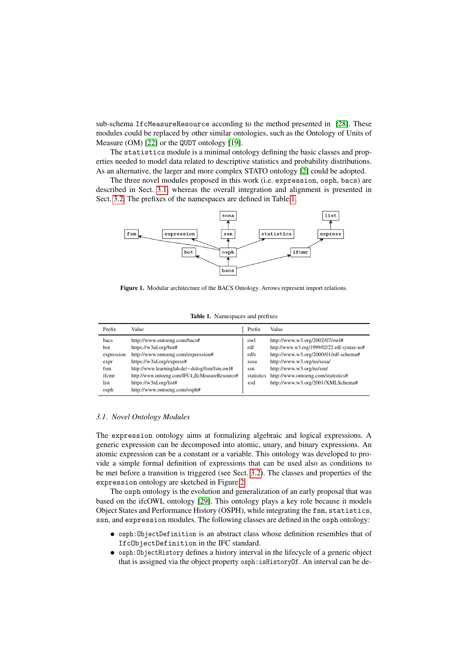sub-schema IfcMeasureResource according to the method presented in [\[28\]](#page-11-18). These modules could be replaced by other similar ontologies, such as the Ontology of Units of Measure (OM) [\[22\]](#page-11-19) or the QUDT ontology [\[19\]](#page-11-20).

The statistics module is a minimal ontology defining the basic classes and properties needed to model data related to descriptive statistics and probability distributions. As an alternative, the larger and more complex STATO ontology [\[2\]](#page-10-4) could be adopted.

The three novel modules proposed in this work (i.e. expression, osph, bacs) are described in Sect. [3.1,](#page-4-2) whereas the overall integration and alignment is presented in Sect. [3.2.](#page-6-1) The prefixes of the namespaces are defined in Table [1.](#page-4-1)

<span id="page-4-0"></span>

Figure 1. Modular architecture of the BACS Ontology. Arrows represent import relations.

|  | Table 1. Namespaces and prefixes |  |  |
|--|----------------------------------|--|--|
|--|----------------------------------|--|--|

<span id="page-4-1"></span>

| Prefix                                                            | Value                                                                                                                                                                                                                                                                                  | Prefix                                                 | Value                                                                                                                                                                                                                                                        |
|-------------------------------------------------------------------|----------------------------------------------------------------------------------------------------------------------------------------------------------------------------------------------------------------------------------------------------------------------------------------|--------------------------------------------------------|--------------------------------------------------------------------------------------------------------------------------------------------------------------------------------------------------------------------------------------------------------------|
| bacs<br>bot<br>expression<br>expr<br>fsm<br>ifcmr<br>list<br>osph | http://www.ontoeng.com/bacs#<br>https://w3id.org/bot#<br>http://www.ontoeng.com/expression#<br>https://w3id.org/express#<br>http://www.learninglab.de/~dolog/fsm/fsm.owl#<br>http://www.ontoeng.com/IFC4_IfcMeasureResource#<br>https://w3id.org/list#<br>http://www.ontoeng.com/osph# | owl<br>rdf<br>rdfs<br>sosa<br>ssn<br>statistics<br>xsd | http://www.w3.org/2002/07/owl#<br>http://www.w3.org/1999/02/22-rdf-syntax-ns#<br>http://www.w3.org/2000/01/rdf-schema#<br>http://www.w3.org/ns/sosa/<br>http://www.w3.org/ns/ssn/<br>http://www.ontoeng.com/statistics#<br>http://www.w3.org/2001/XMLSchema# |

#### <span id="page-4-2"></span>*3.1. Novel Ontology Modules*

The expression ontology aims at formalizing algebraic and logical expressions. A generic expression can be decomposed into atomic, unary, and binary expressions. An atomic expression can be a constant or a variable. This ontology was developed to provide a simple formal definition of expressions that can be used also as conditions to be met before a transition is triggered (see Sect. [3.2\)](#page-6-1). The classes and properties of the expression ontology are sketched in Figure [2.](#page-5-0)

The osph ontology is the evolution and generalization of an early proposal that was based on the ifcOWL ontology [\[29\]](#page-11-21). This ontology plays a key role because it models Object States and Performance History (OSPH), while integrating the fsm, statistics, ssn, and expression modules. The following classes are defined in the osph ontology:

- osph:ObjectDefinition is an abstract class whose definition resembles that of IfcObjectDefinition in the IFC standard.
- osph:ObjectHistory defines a history interval in the lifecycle of a generic object that is assigned via the object property osph:isHistoryOf. An interval can be de-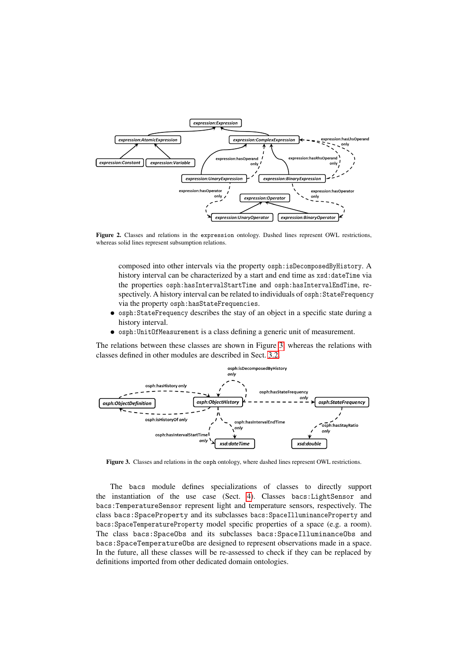<span id="page-5-0"></span>

Figure 2. Classes and relations in the expression ontology. Dashed lines represent OWL restrictions, whereas solid lines represent subsumption relations.

composed into other intervals via the property osph:isDecomposedByHistory. A history interval can be characterized by a start and end time as  $xsd:dateTime$  via the properties osph:hasIntervalStartTime and osph:hasIntervalEndTime, respectively. A history interval can be related to individuals of osph:StateFrequency via the property osph:hasStateFrequencies.

- osph:StateFrequency describes the stay of an object in a specific state during a history interval.
- osph:UnitOfMeasurement is a class defining a generic unit of measurement.

The relations between these classes are shown in Figure [3,](#page-5-1) whereas the relations with classes defined in other modules are described in Sect. [3.2.](#page-6-1)

<span id="page-5-1"></span>

Figure 3. Classes and relations in the osph ontology, where dashed lines represent OWL restrictions.

The bacs module defines specializations of classes to directly support the instantiation of the use case (Sect. [4\)](#page-6-0). Classes bacs:LightSensor and bacs:TemperatureSensor represent light and temperature sensors, respectively. The class bacs:SpaceProperty and its subclasses bacs:SpaceIlluminanceProperty and bacs:SpaceTemperatureProperty model specific properties of a space (e.g. a room). The class bacs:SpaceObs and its subclasses bacs:SpaceIlluminanceObs and bacs:SpaceTemperatureObs are designed to represent observations made in a space. In the future, all these classes will be re-assessed to check if they can be replaced by definitions imported from other dedicated domain ontologies.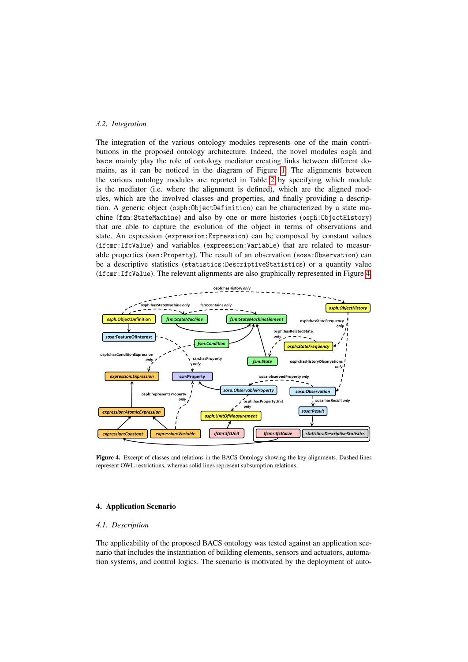# <span id="page-6-1"></span>*3.2. Integration*

The integration of the various ontology modules represents one of the main contributions in the proposed ontology architecture. Indeed, the novel modules osph and bacs mainly play the role of ontology mediator creating links between different domains, as it can be noticed in the diagram of Figure [1.](#page-4-0) The alignments between the various ontology modules are reported in Table [2](#page-7-0) by specifying which module is the mediator (i.e. where the alignment is defined), which are the aligned modules, which are the involved classes and properties, and finally providing a description. A generic object (osph:ObjectDefinition) can be characterized by a state machine (fsm:StateMachine) and also by one or more histories (osph:ObjectHistory) that are able to capture the evolution of the object in terms of observations and state. An expression (expression:Expression) can be composed by constant values (ifcmr:IfcValue) and variables (expression:Variable) that are related to measurable properties (ssn:Property). The result of an observation (sosa:Observation) can be a descriptive statistics (statistics:DescriptiveStatistics) or a quantity value (ifcmr:IfcValue). The relevant alignments are also graphically represented in Figure [4.](#page-6-2)

<span id="page-6-2"></span>

Figure 4. Excerpt of classes and relations in the BACS Ontology showing the key alignments. Dashed lines represent OWL restrictions, whereas solid lines represent subsumption relations.

## <span id="page-6-0"></span>4. Application Scenario

#### *4.1. Description*

The applicability of the proposed BACS ontology was tested against an application scenario that includes the instantiation of building elements, sensors and actuators, automation systems, and control logics. The scenario is motivated by the deployment of auto-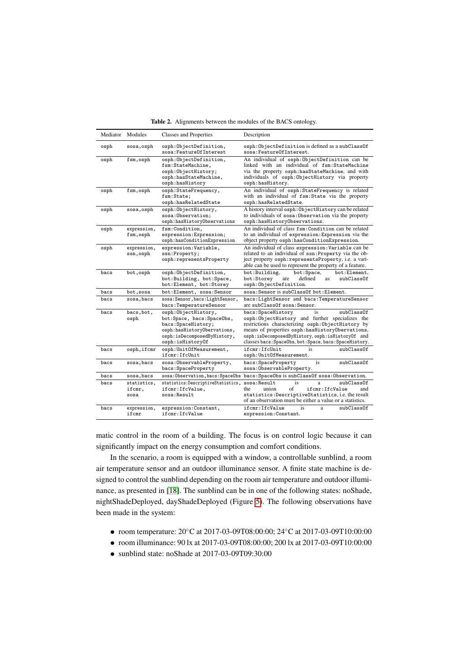|  | Table 2. Alignments between the modules of the BACS ontology. |  |  |  |  |  |  |  |
|--|---------------------------------------------------------------|--|--|--|--|--|--|--|
|--|---------------------------------------------------------------|--|--|--|--|--|--|--|

<span id="page-7-0"></span>

|      | Mediator Modules              | <b>Classes and Properties</b>                                                                                                                             | Description                                                                                                                                                                                                                                                                                                         |
|------|-------------------------------|-----------------------------------------------------------------------------------------------------------------------------------------------------------|---------------------------------------------------------------------------------------------------------------------------------------------------------------------------------------------------------------------------------------------------------------------------------------------------------------------|
| osph | sosa, osph                    | osph:ObjectDefinition,<br>sosa:FeatureOfInterest                                                                                                          | osph: ObjectDefinition is defined as a subClassOf<br>sosa:FeatureOfInterest.                                                                                                                                                                                                                                        |
| osph | fsm, osph                     | osph:ObjectDefinition,<br>fsm:StateMachine,<br>osph:ObjectHistory;<br>osph:hasStateMachine,<br>osph:hasHistory                                            | An individual of osph:ObjectDefinition can be<br>linked with an individual of fsm: StateMachine<br>via the property osph:hasStateMachine, and with<br>individuals of osph:ObjectHistory via property<br>osph:hasHistory.                                                                                            |
| osph | fsm, osph                     | osph:StateFrequency,<br>fsm:State;<br>osph:hasRelatedState                                                                                                | An individual of osph:StateFrequency is related<br>with an individual of fsm: State via the property<br>osph:hasRelatedState.                                                                                                                                                                                       |
| osph | sosa, osph                    | osph:ObjectHistory,<br>sosa: Observation:<br>osph:hasHistoryObservations                                                                                  | A history interval osph: ObjectHistory can be related<br>to individuals of sosa: Observation via the property<br>osph:hasHistoryObservations.                                                                                                                                                                       |
| osph | expression,<br>fsm,osph       | fsm:Condition,<br>expression: Expression;<br>osph:hasConditionExpression                                                                                  | An individual of class fsm: Condition can be related<br>to an individual of expression: Expression via the<br>object property osph: hasConditionExpression.                                                                                                                                                         |
| osph | expression,<br>ssn,osph       | expression:Variable,<br>ssn:Property;<br>osph:representsProperty                                                                                          | An individual of class expression: Variable can be<br>related to an individual of ssn: Property via the ob-<br>ject property osph: representsProperty, i.e. a vari-<br>able can be used to represent the property of a feature.                                                                                     |
| bacs | bot, osph                     | osph:ObjectDefinition,<br>bot: Building, bot: Space,<br>bot: Element, bot: Storey                                                                         | bot:Space,<br>bot:Building,<br>bot:Element,<br>defined<br>subClassOf<br>bot:Storey<br>are<br>as<br>osph:ObjectDefinition.                                                                                                                                                                                           |
| bacs | bot,sosa                      | bot: Element, sosa: Sensor                                                                                                                                | sosa: Sensor is subClassOf bot: Element.                                                                                                                                                                                                                                                                            |
| bacs | sosa, bacs                    | sosa: Sensor, bacs: LightSensor,<br>bacs: TemperatureSensor                                                                                               | bacs: LightSensor and bacs: TemperatureSensor<br>are subClassOf sosa: Sensor.                                                                                                                                                                                                                                       |
| bacs | bacs, bot,<br>osph            | osph:ObjectHistory,<br>bot:Space, bacs:SpaceObs,<br>bacs: SpaceHistory;<br>osph:hasHistoryObervations,<br>osph:isDecomposedByHistory,<br>osph:isHistoryOf | bacs: SpaceHistory<br>subClassOf<br>is<br>osph:ObjectHistory and further specializes the<br>restrictions characterizing osph: ObjectHistory by<br>means of properties osph: has History Obervations,<br>osph:isDecomposedByHistory, osph:isHistoryOf and<br>classes bacs: SpaceObs, bot: Space, bacs: SpaceHistory. |
| bacs | osph, if cmr                  | osph:UnitOfMeasurement,<br>ifcmr:IfcUnit                                                                                                                  | ifcmr: IfcUnit<br>subClassOf<br>is<br>osph:UnitOfMeasurement.                                                                                                                                                                                                                                                       |
| bacs | sosa, bacs                    | sosa:ObservableProperty,<br>bacs: SpaceProperty                                                                                                           | is<br>bacs: SpaceProperty<br>subClassOf<br>sosa: ObservableProperty.                                                                                                                                                                                                                                                |
| bacs | sosa, bacs                    |                                                                                                                                                           | sosa: Observation, bacs: SpaceObs bacs: SpaceObs is subClassOf sosa: Observation.                                                                                                                                                                                                                                   |
| bacs | statistics,<br>ifcmr,<br>sosa | statistics:DescriptiveStatistics, sosa:Result<br>ifcmr:IfcValue,<br>sosa:Result                                                                           | is<br>a<br>subClassOf<br>of<br>ifcmr: IfcValue<br>union<br>the<br>and<br>statistics: DescriptiveStatistics, i.e. the result<br>of an observation must be either a value or a statistics.                                                                                                                            |
| bacs | expression,<br>ifcmr          | expression: Constant,<br>ifcmr: IfcValue                                                                                                                  | ifcmr: IfcValue<br>subClassOf<br>is<br>a<br>expression: Constant.                                                                                                                                                                                                                                                   |

matic control in the room of a building. The focus is on control logic because it can significantly impact on the energy consumption and comfort conditions.

In the scenario, a room is equipped with a window, a controllable sunblind, a room air temperature sensor and an outdoor illuminance sensor. A finite state machine is designed to control the sunblind depending on the room air temperature and outdoor illuminance, as presented in [\[18\]](#page-11-22). The sunblind can be in one of the following states: noShade, nightShadeDeployed, dayShadeDeployed (Figure [5\)](#page-8-0). The following observations have been made in the system:

- room temperature: 20◦C at 2017-03-09T08:00:00; 24◦C at 2017-03-09T10:00:00
- room illuminance: 90 lx at 2017-03-09T08:00:00; 200 lx at 2017-03-09T10:00:00
- sunblind state: noShade at 2017-03-09T09:30:00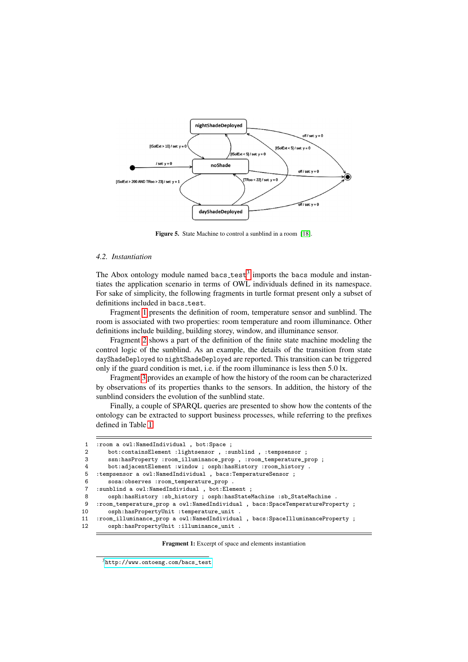<span id="page-8-0"></span>

Figure 5. State Machine to control a sunblind in a room [\[18\]](#page-11-22).

# *4.2. Instantiation*

The Abox ontology module named bacs\_test<sup>[3](#page-8-1)</sup> imports the bacs module and instantiates the application scenario in terms of OWL individuals defined in its namespace. For sake of simplicity, the following fragments in turtle format present only a subset of definitions included in bacs\_test.

Fragment [1](#page-8-2) presents the definition of room, temperature sensor and sunblind. The room is associated with two properties: room temperature and room illuminance. Other definitions include building, building storey, window, and illuminance sensor.

Fragment [2](#page-9-0) shows a part of the definition of the finite state machine modeling the control logic of the sunblind. As an example, the details of the transition from state dayShadeDeployed to nightShadeDeployed are reported. This transition can be triggered only if the guard condition is met, i.e. if the room illuminance is less then 5.0 lx.

Fragment [3](#page-9-1) provides an example of how the history of the room can be characterized by observations of its properties thanks to the sensors. In addition, the history of the sunblind considers the evolution of the sunblind state.

Finally, a couple of SPARQL queries are presented to show how the contents of the ontology can be extracted to support business processes, while referring to the prefixes defined in Table [1.](#page-4-1)

```
1 : room a owl: NamedIndividual, bot: Space ;<br>2 bot: containsElement : lightsensor . : su
 2 bot:containsElement :lightsensor , :sunblind , :tempsensor ;<br>3 ssn:hasPropertv :room illuminance prop , :room temperature p
          ssn:hasProperty :room_illuminance_prop , :room_temperature_prop ;
 4 bot:adjacentElement :window ; osph:hasHistory :room_history .
 5 : tempsensor a owl: NamedIndividual, bacs: TemperatureSensor ;<br>6 sosa: observes : room temperature prop.
          .<br>sosa:observes :room_temperature_prop .
 7 :sunblind a owl:NamedIndividual , bot:Element ;
 8 osph:hasHistory :sb_history ; osph:hasStateMachine :sb_StateMachine .<br>9 :room temperature prop a owl:NamedIndividual . bacs:SpaceTemperatureProp
9 :room_temperature_prop a owl:NamedIndividual , bacs:SpaceTemperatureProperty ;<br>10 osph:hasPropertyUnit :temperature_unit .
          10 osph:hasPropertyUnit :temperature_unit .
11 :room_illuminance_prop a owl:NamedIndividual , bacs:SpaceIlluminanceProperty ;
12 osph:hasPropertyUnit :illuminance_unit .
```
Fragment 1: Excerpt of space and elements instantiation

<span id="page-8-1"></span> $^3$ [http://www.ontoeng.com/bacs\\_test](http://www.ontoeng.com/bacs_test)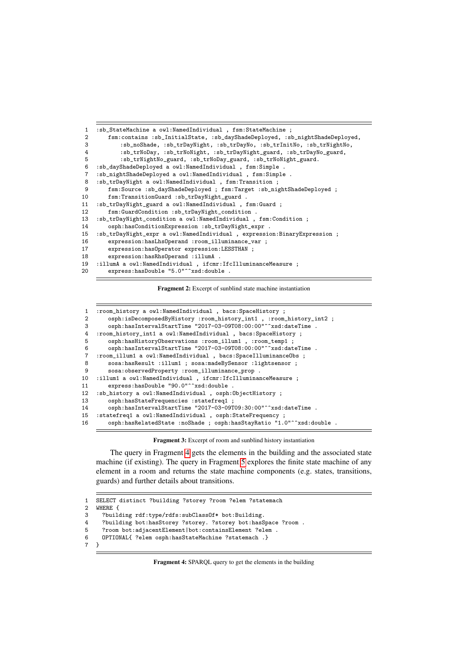```
1 :sb_StateMachine a owl:NamedIndividual , fsm:StateMachine ;
 2 fsm:contains :sb_InitialState, :sb_dayShadeDeployed, :sb_nightShadeDeployed,
 3 :sb_noShade, :sb_trDayNight, :sb_trDayNo, :sb_trInitNo, :sb_trNightNo,
 4 :sb_trNoDay, :sb_trNoNight, :sb_trDayNight_guard, :sb_trDayNo_guard,<br>5 :sb_trNightNo_guard, :sb_trNoDay_guard, :sb_trNoNight_guard.
             5 :sb_trNightNo_guard, :sb_trNoDay_guard, :sb_trNoNight_guard.
 6 :sb_dayShadeDeployed a owl:NamedIndividual , fsm:Simple .
 7 :sb_nightShadeDeployed a owl:NamedIndividual , fsm:Simple .
 8 :sb_trDayNight a owl:NamedIndividual , fsm:Transition ;
9 fsm:Source :sb_dayShadeDeployed ; fsm:Target :sb_nightShadeDeployed ;<br>10 fsm:TransitionGuard :sb_trDayNight_guard .
         10 fsm:TransitionGuard :sb_trDayNight_guard .
11 :sb_trDayNight_guard a owl:NamedIndividual , fsm:Guard ;
         12 fsm:GuardCondition :sb_trDayNight_condition .
13 :sb_trDayNight_condition a owl:NamedIndividual , fsm:Condition ;
14 osph:hasConditionExpression :sb_trDayNight_expr .<br>15 :sb_trDayNight_expr a owl:NamedIndividual , expressi
     15 :sb_trDayNight_expr a owl:NamedIndividual , expression:BinaryExpression ;
16 expression:hasLhsOperand :room_illuminance_var ;
17 expression:hasOperator expression:LESSTHAN ;<br>18 expression:hasRhsOperand :illumA .
         expression:hasRhsOperand :illumA .
19 :illumA a owl:NamedIndividual , ifcmr:IfcIlluminanceMeasure ;
         express:hasDouble "5.0"^^xsd:double .
```
Fragment 2: Excerpt of sunblind state machine instantiation

<span id="page-9-1"></span>

| 1  | : room_history a owl: NamedIndividual , bacs: SpaceHistory ;<br>osph:isDecomposedByHistory :room_history_int1, :room_history_int2 ; |
|----|-------------------------------------------------------------------------------------------------------------------------------------|
| 3  | osph:hasIntervalStartTime "2017-03-09T08:00:00"^^xsd:dateTime .                                                                     |
| 4  | : room_history_int1 a owl: NamedIndividual, bacs: SpaceHistory ;                                                                    |
| 5  | osph:hasHistoryObservations :room_illum1, :room_temp1;                                                                              |
| 6  | osph:hasIntervalStartTime "2017-03-09T08:00:00"^^xsd:dateTime .                                                                     |
| 7  | :room_illum1 a owl:NamedIndividual , bacs:SpaceIlluminanceObs ;                                                                     |
| 8  | sosa:hasResult :illum1 ; sosa:madeBySensor :lightsensor ;                                                                           |
| 9  | sosa:observedProperty :room_illuminance_prop .                                                                                      |
| 10 | :illum1 a owl:NamedIndividual , ifcmr:IfcIlluminanceMeasure ;                                                                       |
| 11 | express: has Double "90.0"^^xsd: double.                                                                                            |
| 12 | : sb_history a owl:NamedIndividual, osph:ObjectHistory ;                                                                            |
| 13 | osph:hasStateFrequencies :statefreq1 ;                                                                                              |
| 14 | osph:hasIntervalStartTime "2017-03-09T09:30:00"^^xsd:dateTime .                                                                     |
| 15 | : statefreq1 a owl: NamedIndividual, osph: StateFrequency;                                                                          |
| 16 | osph:hasRelatedState :noShade ; osph:hasStayRatio "1.0"^xsd:double .                                                                |

Fragment 3: Excerpt of room and sunblind history instantiation

The query in Fragment [4](#page-9-2) gets the elements in the building and the associated state machine (if existing). The query in Fragment [5](#page-10-5) explores the finite state machine of any element in a room and returns the state machine components (e.g. states, transitions, guards) and further details about transitions.

```
1 SELECT distinct ?building ?storey ?room ?elem ?statemach
2 WHERE \{3, 2 \} \{2, 3, 2 \}3 ?building rdf:type/rdfs:subClassOf* bot:Building.<br>4 ?building bot:hasStorey ?storey. ?storey bot:hasS
4 ?building bot:hasStorey ?storey. ?storey bot:hasSpace ?room .
5 ?room bot:adjacentElement|bot:containsElement ?elem .<br>6 0PTIONAL{ ?elem osph:hasStateMachine ?statemach .}
6 OPTIONAL{ ?elem osph:hasStateMachine ?statemach .}<br>7 }
    7 }
```
Fragment 4: SPARQL query to get the elements in the building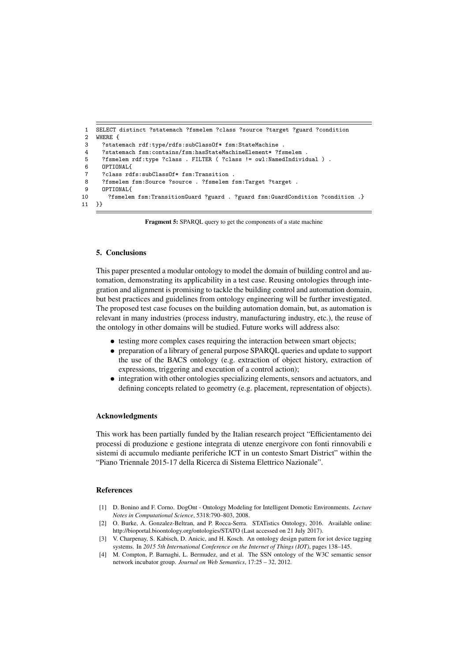```
1 SELECT distinct ?statemach ?fsmelem ?class ?source ?target ?guard ?condition
    WHERE {
 3 ?statemach rdf:type/rdfs:subClassOf* fsm:StateMachine .
 4 ?statemach fsm:contains/fsm:hasStateMachineElement* ?fsmelem .
      5 ?fsmelem rdf:type ?class . FILTER ( ?class != owl:NamedIndividual ) .
 6 OPTIONAL{
 7 ?class rdfs:subClassOf* fsm:Transition .
8 ?fsmelem fsm:Source ?source . ?fsmelem fsm:Target ?target .
9 OPTIONAL{
       10 ?fsmelem fsm:TransitionGuard ?guard . ?guard fsm:GuardCondition ?condition .}
11 }}
```
Fragment 5: SPARQL query to get the components of a state machine

# <span id="page-10-2"></span>5. Conclusions

This paper presented a modular ontology to model the domain of building control and automation, demonstrating its applicability in a test case. Reusing ontologies through integration and alignment is promising to tackle the building control and automation domain, but best practices and guidelines from ontology engineering will be further investigated. The proposed test case focuses on the building automation domain, but, as automation is relevant in many industries (process industry, manufacturing industry, etc.), the reuse of the ontology in other domains will be studied. Future works will address also:

- testing more complex cases requiring the interaction between smart objects;
- preparation of a library of general purpose SPARQL queries and update to support the use of the BACS ontology (e.g. extraction of object history, extraction of expressions, triggering and execution of a control action);
- integration with other ontologies specializing elements, sensors and actuators, and defining concepts related to geometry (e.g. placement, representation of objects).

## Acknowledgments

This work has been partially funded by the Italian research project "Efficientamento dei processi di produzione e gestione integrata di utenze energivore con fonti rinnovabili e sistemi di accumulo mediante periferiche ICT in un contesto Smart District" within the "Piano Triennale 2015-17 della Ricerca di Sistema Elettrico Nazionale".

## References

- <span id="page-10-0"></span>[1] D. Bonino and F. Corno. DogOnt - Ontology Modeling for Intelligent Domotic Environments. *Lecture Notes in Computational Science*, 5318:790–803, 2008.
- <span id="page-10-4"></span>[2] O. Burke, A. Gonzalez-Beltran, and P. Rocca-Serra. STATistics Ontology, 2016. Available online: http://bioportal.bioontology.org/ontologies/STATO (Last accessed on 21 July 2017).
- <span id="page-10-3"></span>[3] V. Charpenay, S. Kabisch, D. Anicic, and H. Kosch. An ontology design pattern for iot device tagging systems. In *2015 5th International Conference on the Internet of Things (IOT)*, pages 138–145.
- <span id="page-10-1"></span>[4] M. Compton, P. Barnaghi, L. Bermudez, and et al. The SSN ontology of the W3C semantic sensor network incubator group. *Journal on Web Semantics*, 17:25 – 32, 2012.